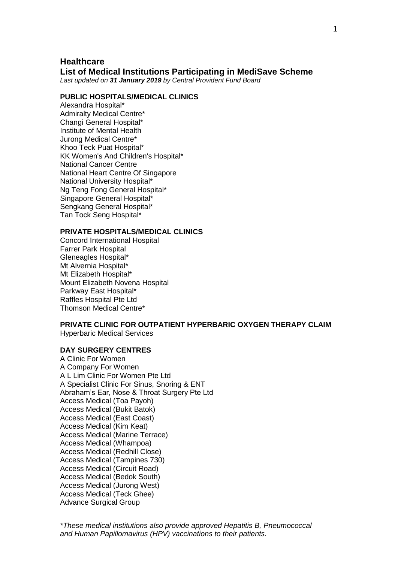## **Healthcare**

#### **List of Medical Institutions Participating in MediSave Scheme**

*Last updated on 31 January 2019 by Central Provident Fund Board*

#### **PUBLIC HOSPITALS/MEDICAL CLINICS**

Alexandra Hospital\* Admiralty Medical Centre\* Changi General Hospital\* Institute of Mental Health Jurong Medical Centre\* Khoo Teck Puat Hospital\* KK Women's And Children's Hospital\* National Cancer Centre National Heart Centre Of Singapore National University Hospital\* Ng Teng Fong General Hospital\* Singapore General Hospital\* Sengkang General Hospital\* Tan Tock Seng Hospital\*

## **PRIVATE HOSPITALS/MEDICAL CLINICS**

Concord International Hospital Farrer Park Hospital Gleneagles Hospital\* Mt Alvernia Hospital\* Mt Elizabeth Hospital\* Mount Elizabeth Novena Hospital Parkway East Hospital\* Raffles Hospital Pte Ltd Thomson Medical Centre\*

# **PRIVATE CLINIC FOR OUTPATIENT HYPERBARIC OXYGEN THERAPY CLAIM**

Hyperbaric Medical Services

## **DAY SURGERY CENTRES**

A Clinic For Women A Company For Women A L Lim Clinic For Women Pte Ltd A Specialist Clinic For Sinus, Snoring & ENT Abraham's Ear, Nose & Throat Surgery Pte Ltd Access Medical (Toa Payoh) Access Medical (Bukit Batok) Access Medical (East Coast) Access Medical (Kim Keat) Access Medical (Marine Terrace) Access Medical (Whampoa) Access Medical (Redhill Close) Access Medical (Tampines 730) Access Medical (Circuit Road) Access Medical (Bedok South) Access Medical (Jurong West) Access Medical (Teck Ghee) Advance Surgical Group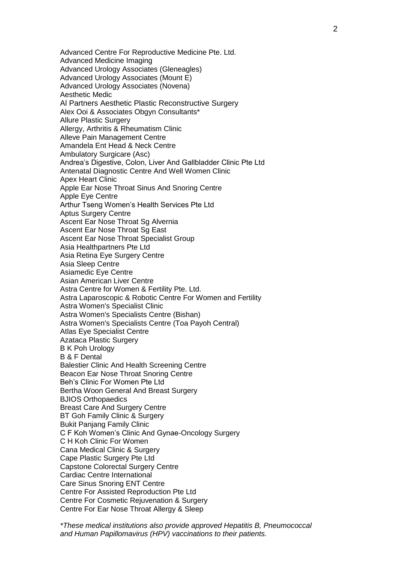Advanced Centre For Reproductive Medicine Pte. Ltd. Advanced Medicine Imaging Advanced Urology Associates (Gleneagles) Advanced Urology Associates (Mount E) Advanced Urology Associates (Novena) Aesthetic Medic Al Partners Aesthetic Plastic Reconstructive Surgery Alex Ooi & Associates Obgyn Consultants\* Allure Plastic Surgery Allergy, Arthritis & Rheumatism Clinic Alleve Pain Management Centre Amandela Ent Head & Neck Centre Ambulatory Surgicare (Asc) Andrea's Digestive, Colon, Liver And Gallbladder Clinic Pte Ltd Antenatal Diagnostic Centre And Well Women Clinic Apex Heart Clinic Apple Ear Nose Throat Sinus And Snoring Centre Apple Eye Centre Arthur Tseng Women's Health Services Pte Ltd Aptus Surgery Centre Ascent Ear Nose Throat Sg Alvernia Ascent Ear Nose Throat Sg East Ascent Ear Nose Throat Specialist Group Asia Healthpartners Pte Ltd Asia Retina Eye Surgery Centre Asia Sleep Centre Asiamedic Eye Centre Asian American Liver Centre Astra Centre for Women & Fertility Pte. Ltd. Astra Laparoscopic & Robotic Centre For Women and Fertility Astra Women's Specialist Clinic Astra Women's Specialists Centre (Bishan) Astra Women's Specialists Centre (Toa Payoh Central) Atlas Eye Specialist Centre Azataca Plastic Surgery B K Poh Urology B & F Dental Balestier Clinic And Health Screening Centre Beacon Ear Nose Throat Snoring Centre Beh's Clinic For Women Pte Ltd Bertha Woon General And Breast Surgery BJIOS Orthopaedics Breast Care And Surgery Centre BT Goh Family Clinic & Surgery Bukit Panjang Family Clinic C F Koh Women's Clinic And Gynae-Oncology Surgery C H Koh Clinic For Women Cana Medical Clinic & Surgery Cape Plastic Surgery Pte Ltd Capstone Colorectal Surgery Centre Cardiac Centre International Care Sinus Snoring ENT Centre Centre For Assisted Reproduction Pte Ltd Centre For Cosmetic Rejuvenation & Surgery Centre For Ear Nose Throat Allergy & Sleep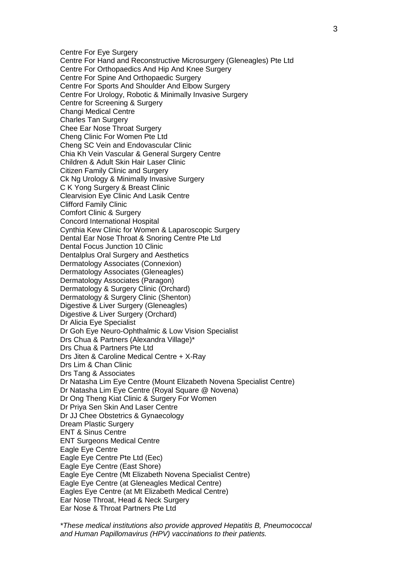Centre For Eye Surgery Centre For Hand and Reconstructive Microsurgery (Gleneagles) Pte Ltd Centre For Orthopaedics And Hip And Knee Surgery Centre For Spine And Orthopaedic Surgery Centre For Sports And Shoulder And Elbow Surgery Centre For Urology, Robotic & Minimally Invasive Surgery Centre for Screening & Surgery Changi Medical Centre Charles Tan Surgery Chee Ear Nose Throat Surgery Cheng Clinic For Women Pte Ltd Cheng SC Vein and Endovascular Clinic Chia Kh Vein Vascular & General Surgery Centre Children & Adult Skin Hair Laser Clinic Citizen Family Clinic and Surgery Ck Ng Urology & Minimally Invasive Surgery C K Yong Surgery & Breast Clinic Clearvision Eye Clinic And Lasik Centre Clifford Family Clinic Comfort Clinic & Surgery Concord International Hospital Cynthia Kew Clinic for Women & Laparoscopic Surgery Dental Ear Nose Throat & Snoring Centre Pte Ltd Dental Focus Junction 10 Clinic Dentalplus Oral Surgery and Aesthetics Dermatology Associates (Connexion) Dermatology Associates (Gleneagles) Dermatology Associates (Paragon) Dermatology & Surgery Clinic (Orchard) Dermatology & Surgery Clinic (Shenton) Digestive & Liver Surgery (Gleneagles) Digestive & Liver Surgery (Orchard) Dr Alicia Eye Specialist Dr Goh Eye Neuro-Ophthalmic & Low Vision Specialist Drs Chua & Partners (Alexandra Village)\* Drs Chua & Partners Pte Ltd Drs Jiten & Caroline Medical Centre + X-Ray Drs Lim & Chan Clinic Drs Tang & Associates Dr Natasha Lim Eye Centre (Mount Elizabeth Novena Specialist Centre) Dr Natasha Lim Eye Centre (Royal Square @ Novena) Dr Ong Theng Kiat Clinic & Surgery For Women Dr Priya Sen Skin And Laser Centre Dr JJ Chee Obstetrics & Gynaecology Dream Plastic Surgery ENT & Sinus Centre ENT Surgeons Medical Centre Eagle Eye Centre Eagle Eye Centre Pte Ltd (Eec) Eagle Eye Centre (East Shore) Eagle Eye Centre (Mt Elizabeth Novena Specialist Centre) Eagle Eye Centre (at Gleneagles Medical Centre) Eagles Eye Centre (at Mt Elizabeth Medical Centre) Ear Nose Throat, Head & Neck Surgery Ear Nose & Throat Partners Pte Ltd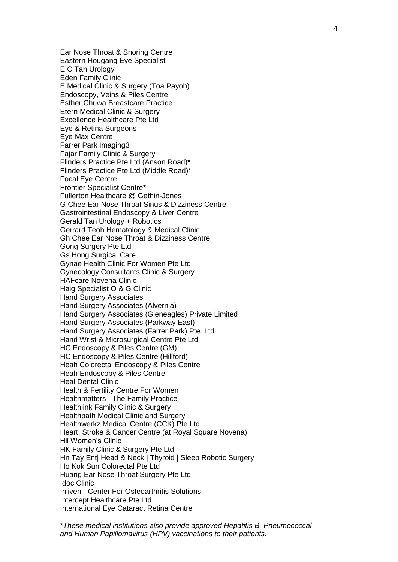Ear Nose Throat & Snoring Centre Eastern Hougang Eye Specialist E C Tan Urology Eden Family Clinic E Medical Clinic & Surgery (Toa Payoh) Endoscopy, Veins & Piles Centre Esther Chuwa Breastcare Practice Etern Medical Clinic & Surgery Excellence Healthcare Pte Ltd Eye & Retina Surgeons Eye Max Centre Farrer Park Imaging3 Fajar Family Clinic & Surgery Flinders Practice Pte Ltd (Anson Road)\* Flinders Practice Pte Ltd (Middle Road)\* Focal Eye Centre Frontier Specialist Centre\* Fullerton Healthcare @ Gethin-Jones G Chee Ear Nose Throat Sinus & Dizziness Centre Gastrointestinal Endoscopy & Liver Centre Gerald Tan Urology + Robotics Gerrard Teoh Hematology & Medical Clinic Gh Chee Ear Nose Throat & Dizziness Centre Gong Surgery Pte Ltd Gs Hong Surgical Care Gynae Health Clinic For Women Pte Ltd Gynecology Consultants Clinic & Surgery HAFcare Novena Clinic Haig Specialist O & G Clinic Hand Surgery Associates Hand Surgery Associates (Alvernia) Hand Surgery Associates (Gleneagles) Private Limited Hand Surgery Associates (Parkway East) Hand Surgery Associates (Farrer Park) Pte. Ltd. Hand Wrist & Microsurgical Centre Pte Ltd HC Endoscopy & Piles Centre (GM) HC Endoscopy & Piles Centre (Hillford) Heah Colorectal Endoscopy & Piles Centre Heah Endoscopy & Piles Centre Heal Dental Clinic Health & Fertility Centre For Women Healthmatters - The Family Practice Healthlink Family Clinic & Surgery Healthpath Medical Clinic and Surgery Healthwerkz Medical Centre (CCK) Pte Ltd Heart, Stroke & Cancer Centre (at Royal Square Novena) Hii Women's Clinic HK Family Clinic & Surgery Pte Ltd Hn Tay Ent| Head & Neck | Thyroid | Sleep Robotic Surgery Ho Kok Sun Colorectal Pte Ltd Huang Ear Nose Throat Surgery Pte Ltd Idoc Clinic Inliven - Center For Osteoarthritis Solutions Intercept Healthcare Pte Ltd International Eye Cataract Retina Centre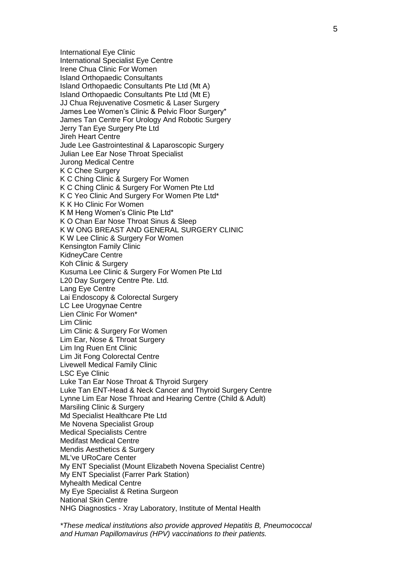International Eye Clinic International Specialist Eye Centre Irene Chua Clinic For Women Island Orthopaedic Consultants Island Orthopaedic Consultants Pte Ltd (Mt A) Island Orthopaedic Consultants Pte Ltd (Mt E) JJ Chua Rejuvenative Cosmetic & Laser Surgery James Lee Women's Clinic & Pelvic Floor Surgery\* James Tan Centre For Urology And Robotic Surgery Jerry Tan Eye Surgery Pte Ltd Jireh Heart Centre Jude Lee Gastrointestinal & Laparoscopic Surgery Julian Lee Ear Nose Throat Specialist Jurong Medical Centre K C Chee Surgery K C Ching Clinic & Surgery For Women K C Ching Clinic & Surgery For Women Pte Ltd K C Yeo Clinic And Surgery For Women Pte Ltd\* K K Ho Clinic For Women K M Heng Women's Clinic Pte Ltd\* K O Chan Ear Nose Throat Sinus & Sleep K W ONG BREAST AND GENERAL SURGERY CLINIC K W Lee Clinic & Surgery For Women Kensington Family Clinic KidneyCare Centre Koh Clinic & Surgery Kusuma Lee Clinic & Surgery For Women Pte Ltd L20 Day Surgery Centre Pte. Ltd. Lang Eye Centre Lai Endoscopy & Colorectal Surgery LC Lee Urogynae Centre Lien Clinic For Women\* Lim Clinic Lim Clinic & Surgery For Women Lim Ear, Nose & Throat Surgery Lim Ing Ruen Ent Clinic Lim Jit Fong Colorectal Centre Livewell Medical Family Clinic LSC Eye Clinic Luke Tan Ear Nose Throat & Thyroid Surgery Luke Tan ENT-Head & Neck Cancer and Thyroid Surgery Centre Lynne Lim Ear Nose Throat and Hearing Centre (Child & Adult) Marsiling Clinic & Surgery Md Specialist Healthcare Pte Ltd Me Novena Specialist Group Medical Specialists Centre Medifast Medical Centre Mendis Aesthetics & Surgery ML've URoCare Center My ENT Specialist (Mount Elizabeth Novena Specialist Centre) My ENT Specialist (Farrer Park Station) Myhealth Medical Centre My Eye Specialist & Retina Surgeon National Skin Centre NHG Diagnostics - Xray Laboratory, Institute of Mental Health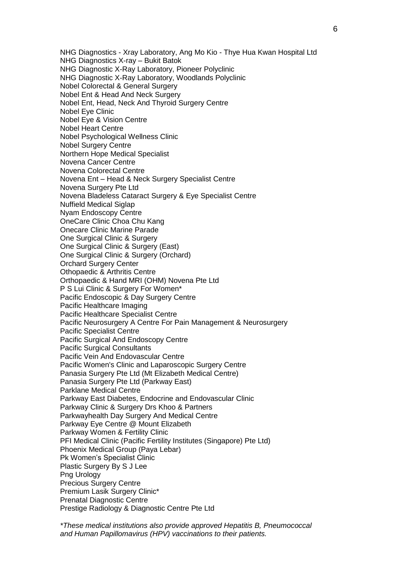NHG Diagnostics - Xray Laboratory, Ang Mo Kio - Thye Hua Kwan Hospital Ltd NHG Diagnostics X-ray – Bukit Batok NHG Diagnostic X-Ray Laboratory, Pioneer Polyclinic NHG Diagnostic X-Ray Laboratory, Woodlands Polyclinic Nobel Colorectal & General Surgery Nobel Ent & Head And Neck Surgery Nobel Ent, Head, Neck And Thyroid Surgery Centre Nobel Eye Clinic Nobel Eye & Vision Centre Nobel Heart Centre Nobel Psychological Wellness Clinic Nobel Surgery Centre Northern Hope Medical Specialist Novena Cancer Centre Novena Colorectal Centre Novena Ent – Head & Neck Surgery Specialist Centre Novena Surgery Pte Ltd Novena Bladeless Cataract Surgery & Eye Specialist Centre Nuffield Medical Siglap Nyam Endoscopy Centre OneCare Clinic Choa Chu Kang Onecare Clinic Marine Parade One Surgical Clinic & Surgery One Surgical Clinic & Surgery (East) One Surgical Clinic & Surgery (Orchard) Orchard Surgery Center Othopaedic & Arthritis Centre Orthopaedic & Hand MRI (OHM) Novena Pte Ltd P S Lui Clinic & Surgery For Women\* Pacific Endoscopic & Day Surgery Centre Pacific Healthcare Imaging Pacific Healthcare Specialist Centre Pacific Neurosurgery A Centre For Pain Management & Neurosurgery Pacific Specialist Centre Pacific Surgical And Endoscopy Centre Pacific Surgical Consultants Pacific Vein And Endovascular Centre Pacific Women's Clinic and Laparoscopic Surgery Centre Panasia Surgery Pte Ltd (Mt Elizabeth Medical Centre) Panasia Surgery Pte Ltd (Parkway East) Parklane Medical Centre Parkway East Diabetes, Endocrine and Endovascular Clinic Parkway Clinic & Surgery Drs Khoo & Partners Parkwayhealth Day Surgery And Medical Centre Parkway Eye Centre @ Mount Elizabeth Parkway Women & Fertility Clinic PFI Medical Clinic (Pacific Fertility Institutes (Singapore) Pte Ltd) Phoenix Medical Group (Paya Lebar) Pk Women's Specialist Clinic Plastic Surgery By S J Lee Png Urology Precious Surgery Centre Premium Lasik Surgery Clinic\* Prenatal Diagnostic Centre Prestige Radiology & Diagnostic Centre Pte Ltd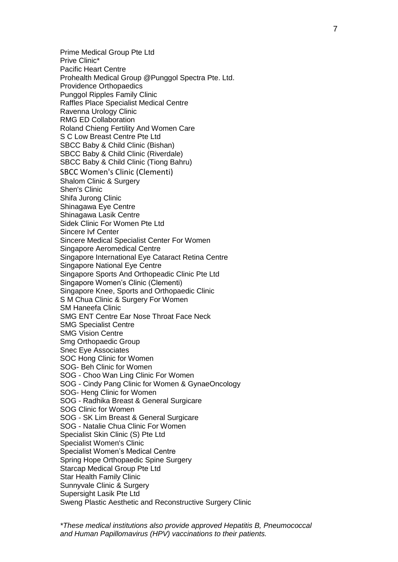Prime Medical Group Pte Ltd Prive Clinic\* Pacific Heart Centre Prohealth Medical Group @Punggol Spectra Pte. Ltd. Providence Orthopaedics Punggol Ripples Family Clinic Raffles Place Specialist Medical Centre Ravenna Urology Clinic RMG ED Collaboration Roland Chieng Fertility And Women Care S C Low Breast Centre Pte Ltd SBCC Baby & Child Clinic (Bishan) SBCC Baby & Child Clinic (Riverdale) SBCC Baby & Child Clinic (Tiong Bahru) SBCC Women's Clinic (Clementi) Shalom Clinic & Surgery Shen's Clinic Shifa Jurong Clinic Shinagawa Eye Centre Shinagawa Lasik Centre Sidek Clinic For Women Pte Ltd Sincere Ivf Center Sincere Medical Specialist Center For Women Singapore Aeromedical Centre Singapore International Eye Cataract Retina Centre Singapore National Eye Centre Singapore Sports And Orthopeadic Clinic Pte Ltd Singapore Women's Clinic (Clementi) Singapore Knee, Sports and Orthopaedic Clinic S M Chua Clinic & Surgery For Women SM Haneefa Clinic SMG ENT Centre Ear Nose Throat Face Neck SMG Specialist Centre SMG Vision Centre Smg Orthopaedic Group Snec Eye Associates SOC Hong Clinic for Women SOG- Beh Clinic for Women SOG - Choo Wan Ling Clinic For Women SOG - Cindy Pang Clinic for Women & GynaeOncology SOG- Heng Clinic for Women SOG - Radhika Breast & General Surgicare SOG Clinic for Women SOG - SK Lim Breast & General Surgicare SOG - Natalie Chua Clinic For Women Specialist Skin Clinic (S) Pte Ltd Specialist Women's Clinic Specialist Women's Medical Centre Spring Hope Orthopaedic Spine Surgery Starcap Medical Group Pte Ltd Star Health Family Clinic Sunnyvale Clinic & Surgery Supersight Lasik Pte Ltd Sweng Plastic Aesthetic and Reconstructive Surgery Clinic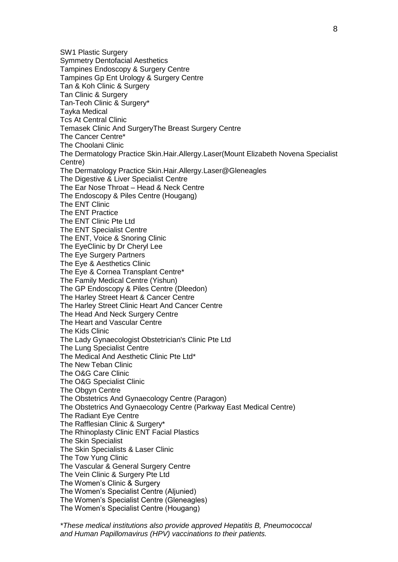SW1 Plastic Surgery Symmetry Dentofacial Aesthetics Tampines Endoscopy & Surgery Centre Tampines Gp Ent Urology & Surgery Centre Tan & Koh Clinic & Surgery Tan Clinic & Surgery Tan-Teoh Clinic & Surgery\* Tayka Medical Tcs At Central Clinic Temasek Clinic And SurgeryThe Breast Surgery Centre The Cancer Centre\* The Choolani Clinic The Dermatology Practice Skin.Hair.Allergy.Laser(Mount Elizabeth Novena Specialist Centre) The Dermatology Practice Skin.Hair.Allergy.Laser@Gleneagles The Digestive & Liver Specialist Centre The Ear Nose Throat – Head & Neck Centre The Endoscopy & Piles Centre (Hougang) The ENT Clinic The ENT Practice The ENT Clinic Pte Ltd The ENT Specialist Centre The ENT, Voice & Snoring Clinic The EyeClinic by Dr Cheryl Lee The Eye Surgery Partners The Eye & Aesthetics Clinic The Eye & Cornea Transplant Centre\* The Family Medical Centre (Yishun) The GP Endoscopy & Piles Centre (Dleedon) The Harley Street Heart & Cancer Centre The Harley Street Clinic Heart And Cancer Centre The Head And Neck Surgery Centre The Heart and Vascular Centre The Kids Clinic The Lady Gynaecologist Obstetrician's Clinic Pte Ltd The Lung Specialist Centre The Medical And Aesthetic Clinic Pte Ltd\* The New Teban Clinic The O&G Care Clinic The O&G Specialist Clinic The Obgyn Centre The Obstetrics And Gynaecology Centre (Paragon) The Obstetrics And Gynaecology Centre (Parkway East Medical Centre) The Radiant Eye Centre The Rafflesian Clinic & Surgery\* The Rhinoplasty Clinic ENT Facial Plastics The Skin Specialist The Skin Specialists & Laser Clinic The Tow Yung Clinic The Vascular & General Surgery Centre The Vein Clinic & Surgery Pte Ltd The Women's Clinic & Surgery The Women's Specialist Centre (Aljunied) The Women's Specialist Centre (Gleneagles) The Women's Specialist Centre (Hougang)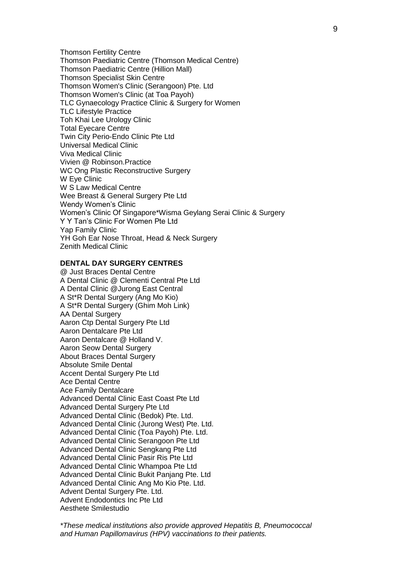Thomson Fertility Centre Thomson Paediatric Centre (Thomson Medical Centre) Thomson Paediatric Centre (Hillion Mall) Thomson Specialist Skin Centre Thomson Women's Clinic (Serangoon) Pte. Ltd Thomson Women's Clinic (at Toa Payoh) TLC Gynaecology Practice Clinic & Surgery for Women TLC Lifestyle Practice Toh Khai Lee Urology Clinic Total Eyecare Centre Twin City Perio-Endo Clinic Pte Ltd Universal Medical Clinic Viva Medical Clinic Vivien @ Robinson.Practice WC Ong Plastic Reconstructive Surgery W Eye Clinic W S Law Medical Centre Wee Breast & General Surgery Pte Ltd Wendy Women's Clinic Women's Clinic Of Singapore\*Wisma Geylang Serai Clinic & Surgery Y Y Tan's Clinic For Women Pte Ltd Yap Family Clinic YH Goh Ear Nose Throat, Head & Neck Surgery Zenith Medical Clinic

## **DENTAL DAY SURGERY CENTRES**

@ Just Braces Dental Centre A Dental Clinic @ Clementi Central Pte Ltd A Dental Clinic @Jurong East Central A St\*R Dental Surgery (Ang Mo Kio) A St\*R Dental Surgery (Ghim Moh Link) AA Dental Surgery Aaron Ctp Dental Surgery Pte Ltd Aaron Dentalcare Pte Ltd Aaron Dentalcare @ Holland V. Aaron Seow Dental Surgery About Braces Dental Surgery Absolute Smile Dental Accent Dental Surgery Pte Ltd Ace Dental Centre Ace Family Dentalcare Advanced Dental Clinic East Coast Pte Ltd Advanced Dental Surgery Pte Ltd Advanced Dental Clinic (Bedok) Pte. Ltd. Advanced Dental Clinic (Jurong West) Pte. Ltd. Advanced Dental Clinic (Toa Payoh) Pte. Ltd. Advanced Dental Clinic Serangoon Pte Ltd Advanced Dental Clinic Sengkang Pte Ltd Advanced Dental Clinic Pasir Ris Pte Ltd Advanced Dental Clinic Whampoa Pte Ltd Advanced Dental Clinic Bukit Panjang Pte. Ltd Advanced Dental Clinic Ang Mo Kio Pte. Ltd. Advent Dental Surgery Pte. Ltd. Advent Endodontics Inc Pte Ltd Aesthete Smilestudio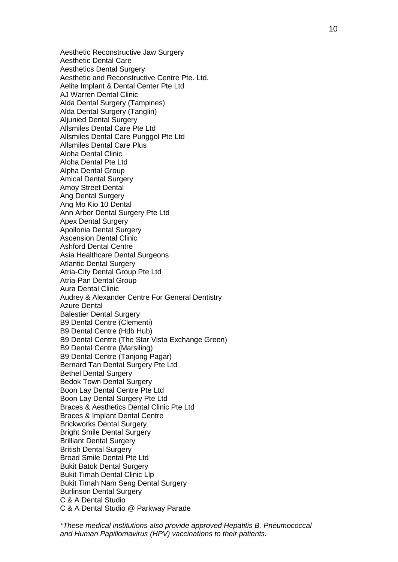Aesthetic Reconstructive Jaw Surgery Aesthetic Dental Care Aesthetics Dental Surgery Aesthetic and Reconstructive Centre Pte. Ltd. Aelite Implant & Dental Center Pte Ltd AJ Warren Dental Clinic Alda Dental Surgery (Tampines) Alda Dental Surgery (Tanglin) Aljunied Dental Surgery Allsmiles Dental Care Pte Ltd Allsmiles Dental Care Punggol Pte Ltd Allsmiles Dental Care Plus Aloha Dental Clinic Aloha Dental Pte Ltd Alpha Dental Group Amical Dental Surgery Amoy Street Dental Ang Dental Surgery Ang Mo Kio 10 Dental Ann Arbor Dental Surgery Pte Ltd Apex Dental Surgery Apollonia Dental Surgery Ascension Dental Clinic Ashford Dental Centre Asia Healthcare Dental Surgeons Atlantic Dental Surgery Atria-City Dental Group Pte Ltd Atria-Pan Dental Group Aura Dental Clinic Audrey & Alexander Centre For General Dentistry Azure Dental Balestier Dental Surgery B9 Dental Centre (Clementi) B9 Dental Centre (Hdb Hub) B9 Dental Centre (The Star Vista Exchange Green) B9 Dental Centre (Marsiling) B9 Dental Centre (Tanjong Pagar) Bernard Tan Dental Surgery Pte Ltd Bethel Dental Surgery Bedok Town Dental Surgery Boon Lay Dental Centre Pte Ltd Boon Lay Dental Surgery Pte Ltd Braces & Aesthetics Dental Clinic Pte Ltd Braces & Implant Dental Centre Brickworks Dental Surgery Bright Smile Dental Surgery Brilliant Dental Surgery British Dental Surgery Broad Smile Dental Pte Ltd Bukit Batok Dental Surgery Bukit Timah Dental Clinic Llp Bukit Timah Nam Seng Dental Surgery Burlinson Dental Surgery C & A Dental Studio C & A Dental Studio @ Parkway Parade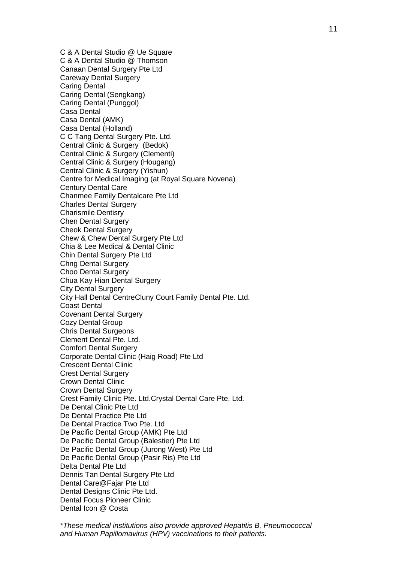C & A Dental Studio @ Ue Square C & A Dental Studio @ Thomson Canaan Dental Surgery Pte Ltd Careway Dental Surgery Caring Dental Caring Dental (Sengkang) Caring Dental (Punggol) Casa Dental Casa Dental (AMK) Casa Dental (Holland) C C Tang Dental Surgery Pte. Ltd. Central Clinic & Surgery (Bedok) Central Clinic & Surgery (Clementi) Central Clinic & Surgery (Hougang) Central Clinic & Surgery (Yishun) Centre for Medical Imaging (at Royal Square Novena) Century Dental Care Chanmee Family Dentalcare Pte Ltd Charles Dental Surgery Charismile Dentisry Chen Dental Surgery Cheok Dental Surgery Chew & Chew Dental Surgery Pte Ltd Chia & Lee Medical & Dental Clinic Chin Dental Surgery Pte Ltd Chng Dental Surgery Choo Dental Surgery Chua Kay Hian Dental Surgery City Dental Surgery City Hall Dental CentreCluny Court Family Dental Pte. Ltd. Coast Dental Covenant Dental Surgery Cozy Dental Group Chris Dental Surgeons Clement Dental Pte. Ltd. Comfort Dental Surgery Corporate Dental Clinic (Haig Road) Pte Ltd Crescent Dental Clinic Crest Dental Surgery Crown Dental Clinic Crown Dental Surgery Crest Family Clinic Pte. Ltd.Crystal Dental Care Pte. Ltd. De Dental Clinic Pte Ltd De Dental Practice Pte Ltd De Dental Practice Two Pte. Ltd De Pacific Dental Group (AMK) Pte Ltd De Pacific Dental Group (Balestier) Pte Ltd De Pacific Dental Group (Jurong West) Pte Ltd De Pacific Dental Group (Pasir Ris) Pte Ltd Delta Dental Pte Ltd Dennis Tan Dental Surgery Pte Ltd Dental Care@Fajar Pte Ltd Dental Designs Clinic Pte Ltd. Dental Focus Pioneer Clinic Dental Icon @ Costa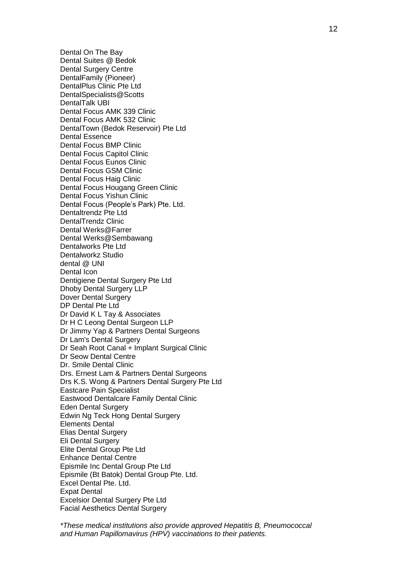Dental On The Bay Dental Suites @ Bedok Dental Surgery Centre DentalFamily (Pioneer) DentalPlus Clinic Pte Ltd DentalSpecialists@Scotts DentalTalk UBI Dental Focus AMK 339 Clinic Dental Focus AMK 532 Clinic DentalTown (Bedok Reservoir) Pte Ltd Dental Essence Dental Focus BMP Clinic Dental Focus Capitol Clinic Dental Focus Eunos Clinic Dental Focus GSM Clinic Dental Focus Haig Clinic Dental Focus Hougang Green Clinic Dental Focus Yishun Clinic Dental Focus (People's Park) Pte. Ltd. Dentaltrendz Pte Ltd DentalTrendz Clinic Dental Werks@Farrer Dental Werks@Sembawang Dentalworks Pte Ltd Dentalworkz Studio dental @ UNI Dental Icon Dentigiene Dental Surgery Pte Ltd Dhoby Dental Surgery LLP Dover Dental Surgery DP Dental Pte Ltd Dr David K L Tay & Associates Dr H C Leong Dental Surgeon LLP Dr Jimmy Yap & Partners Dental Surgeons Dr Lam's Dental Surgery Dr Seah Root Canal + Implant Surgical Clinic Dr Seow Dental Centre Dr. Smile Dental Clinic Drs. Ernest Lam & Partners Dental Surgeons Drs K.S. Wong & Partners Dental Surgery Pte Ltd Eastcare Pain Specialist Eastwood Dentalcare Family Dental Clinic Eden Dental Surgery Edwin Ng Teck Hong Dental Surgery Elements Dental Elias Dental Surgery Eli Dental Surgery Elite Dental Group Pte Ltd Enhance Dental Centre Epismile Inc Dental Group Pte Ltd Epismile (Bt Batok) Dental Group Pte. Ltd. Excel Dental Pte. Ltd. Expat Dental Excelsior Dental Surgery Pte Ltd Facial Aesthetics Dental Surgery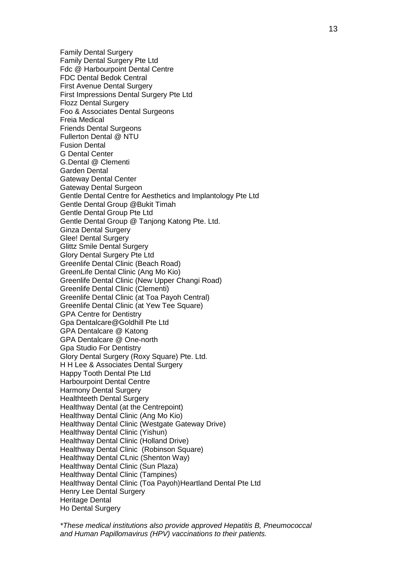Family Dental Surgery Family Dental Surgery Pte Ltd Fdc @ Harbourpoint Dental Centre FDC Dental Bedok Central First Avenue Dental Surgery First Impressions Dental Surgery Pte Ltd Flozz Dental Surgery Foo & Associates Dental Surgeons Freia Medical Friends Dental Surgeons Fullerton Dental @ NTU Fusion Dental G Dental Center G.Dental @ Clementi Garden Dental Gateway Dental Center Gateway Dental Surgeon Gentle Dental Centre for Aesthetics and Implantology Pte Ltd Gentle Dental Group @Bukit Timah Gentle Dental Group Pte Ltd Gentle Dental Group @ Tanjong Katong Pte. Ltd. Ginza Dental Surgery Glee! Dental Surgery Glittz Smile Dental Surgery Glory Dental Surgery Pte Ltd Greenlife Dental Clinic (Beach Road) GreenLife Dental Clinic (Ang Mo Kio) Greenlife Dental Clinic (New Upper Changi Road) Greenlife Dental Clinic (Clementi) Greenlife Dental Clinic (at Toa Payoh Central) Greenlife Dental Clinic (at Yew Tee Square) GPA Centre for Dentistry Gpa Dentalcare@Goldhill Pte Ltd GPA Dentalcare @ Katong GPA Dentalcare @ One-north Gpa Studio For Dentistry Glory Dental Surgery (Roxy Square) Pte. Ltd. H H Lee & Associates Dental Surgery Happy Tooth Dental Pte Ltd Harbourpoint Dental Centre Harmony Dental Surgery Healthteeth Dental Surgery Healthway Dental (at the Centrepoint) Healthway Dental Clinic (Ang Mo Kio) Healthway Dental Clinic (Westgate Gateway Drive) Healthway Dental Clinic (Yishun) Healthway Dental Clinic (Holland Drive) Healthway Dental Clinic (Robinson Square) Healthway Dental CLnic (Shenton Way) Healthway Dental Clinic (Sun Plaza) Healthway Dental Clinic (Tampines) Healthway Dental Clinic (Toa Payoh)Heartland Dental Pte Ltd Henry Lee Dental Surgery Heritage Dental Ho Dental Surgery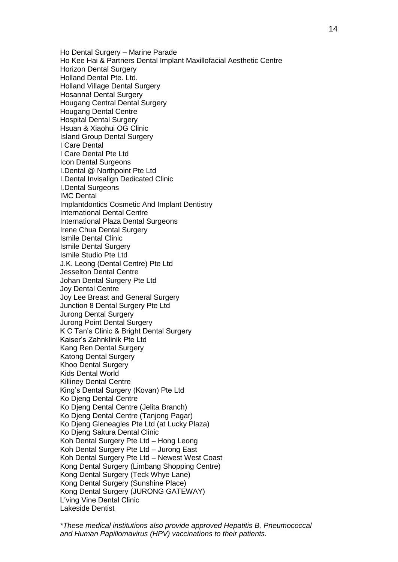Ho Dental Surgery – Marine Parade Ho Kee Hai & Partners Dental Implant Maxillofacial Aesthetic Centre **Horizon Dental Surgery** Holland Dental Pte. Ltd. Holland Village Dental Surgery Hosanna! Dental Surgery Hougang Central Dental Surgery Hougang Dental Centre Hospital Dental Surgery Hsuan & Xiaohui OG Clinic Island Group Dental Surgery I Care Dental I Care Dental Pte Ltd Icon Dental Surgeons I.Dental @ Northpoint Pte Ltd I.Dental Invisalign Dedicated Clinic I.Dental Surgeons IMC Dental Implantdontics Cosmetic And Implant Dentistry International Dental Centre International Plaza Dental Surgeons Irene Chua Dental Surgery Ismile Dental Clinic Ismile Dental Surgery Ismile Studio Pte Ltd J.K. Leong (Dental Centre) Pte Ltd Jesselton Dental Centre Johan Dental Surgery Pte Ltd Joy Dental Centre Joy Lee Breast and General Surgery Junction 8 Dental Surgery Pte Ltd Jurong Dental Surgery Jurong Point Dental Surgery K C Tan's Clinic & Bright Dental Surgery Kaiser's Zahnklinik Pte Ltd Kang Ren Dental Surgery Katong Dental Surgery Khoo Dental Surgery Kids Dental World Killiney Dental Centre King's Dental Surgery (Kovan) Pte Ltd Ko Djeng Dental Centre Ko Djeng Dental Centre (Jelita Branch) Ko Djeng Dental Centre (Tanjong Pagar) Ko Djeng Gleneagles Pte Ltd (at Lucky Plaza) Ko Djeng Sakura Dental Clinic Koh Dental Surgery Pte Ltd – Hong Leong Koh Dental Surgery Pte Ltd – Jurong East Koh Dental Surgery Pte Ltd – Newest West Coast Kong Dental Surgery (Limbang Shopping Centre) Kong Dental Surgery (Teck Whye Lane) Kong Dental Surgery (Sunshine Place) Kong Dental Surgery (JURONG GATEWAY) L'ving Vine Dental Clinic Lakeside Dentist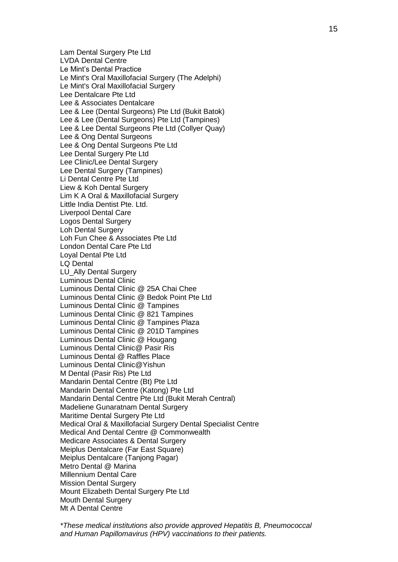Lam Dental Surgery Pte Ltd LVDA Dental Centre Le Mint's Dental Practice Le Mint's Oral Maxillofacial Surgery (The Adelphi) Le Mint's Oral Maxillofacial Surgery Lee Dentalcare Pte Ltd Lee & Associates Dentalcare Lee & Lee (Dental Surgeons) Pte Ltd (Bukit Batok) Lee & Lee (Dental Surgeons) Pte Ltd (Tampines) Lee & Lee Dental Surgeons Pte Ltd (Collyer Quay) Lee & Ong Dental Surgeons Lee & Ong Dental Surgeons Pte Ltd Lee Dental Surgery Pte Ltd Lee Clinic/Lee Dental Surgery Lee Dental Surgery (Tampines) Li Dental Centre Pte Ltd Liew & Koh Dental Surgery Lim K A Oral & Maxillofacial Surgery Little India Dentist Pte. Ltd. Liverpool Dental Care Logos Dental Surgery Loh Dental Surgery Loh Fun Chee & Associates Pte Ltd London Dental Care Pte Ltd Loyal Dental Pte Ltd LQ Dental LU\_Ally Dental Surgery Luminous Dental Clinic Luminous Dental Clinic @ 25A Chai Chee Luminous Dental Clinic @ Bedok Point Pte Ltd Luminous Dental Clinic @ Tampines Luminous Dental Clinic @ 821 Tampines Luminous Dental Clinic @ Tampines Plaza Luminous Dental Clinic @ 201D Tampines Luminous Dental Clinic @ Hougang Luminous Dental Clinic@ Pasir Ris Luminous Dental @ Raffles Place Luminous Dental Clinic@Yishun M Dental (Pasir Ris) Pte Ltd Mandarin Dental Centre (Bt) Pte Ltd Mandarin Dental Centre (Katong) Pte Ltd Mandarin Dental Centre Pte Ltd (Bukit Merah Central) Madeliene Gunaratnam Dental Surgery Maritime Dental Surgery Pte Ltd Medical Oral & Maxillofacial Surgery Dental Specialist Centre Medical And Dental Centre @ Commonwealth Medicare Associates & Dental Surgery Meiplus Dentalcare (Far East Square) Meiplus Dentalcare (Tanjong Pagar) Metro Dental @ Marina Millennium Dental Care Mission Dental Surgery Mount Elizabeth Dental Surgery Pte Ltd Mouth Dental Surgery Mt A Dental Centre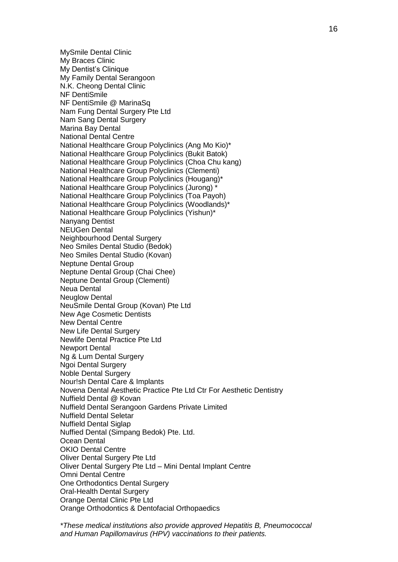MySmile Dental Clinic My Braces Clinic My Dentist's Clinique My Family Dental Serangoon N.K. Cheong Dental Clinic NF DentiSmile NF DentiSmile @ MarinaSq Nam Fung Dental Surgery Pte Ltd Nam Sang Dental Surgery Marina Bay Dental National Dental Centre National Healthcare Group Polyclinics (Ang Mo Kio)\* National Healthcare Group Polyclinics (Bukit Batok) National Healthcare Group Polyclinics (Choa Chu kang) National Healthcare Group Polyclinics (Clementi) National Healthcare Group Polyclinics (Hougang)\* National Healthcare Group Polyclinics (Jurong) \* National Healthcare Group Polyclinics (Toa Payoh) National Healthcare Group Polyclinics (Woodlands)\* National Healthcare Group Polyclinics (Yishun)\* Nanyang Dentist NEUGen Dental Neighbourhood Dental Surgery Neo Smiles Dental Studio (Bedok) Neo Smiles Dental Studio (Kovan) Neptune Dental Group Neptune Dental Group (Chai Chee) Neptune Dental Group (Clementi) Neua Dental Neuglow Dental NeuSmile Dental Group (Kovan) Pte Ltd New Age Cosmetic Dentists New Dental Centre New Life Dental Surgery Newlife Dental Practice Pte Ltd Newport Dental Ng & Lum Dental Surgery Ngoi Dental Surgery Noble Dental Surgery Nour!sh Dental Care & Implants Novena Dental Aesthetic Practice Pte Ltd Ctr For Aesthetic Dentistry Nuffield Dental @ Kovan Nuffield Dental Serangoon Gardens Private Limited Nuffield Dental Seletar Nuffield Dental Siglap Nuffied Dental (Simpang Bedok) Pte. Ltd. Ocean Dental OKIO Dental Centre Oliver Dental Surgery Pte Ltd Oliver Dental Surgery Pte Ltd – Mini Dental Implant Centre Omni Dental Centre One Orthodontics Dental Surgery Oral-Health Dental Surgery Orange Dental Clinic Pte Ltd Orange Orthodontics & Dentofacial Orthopaedics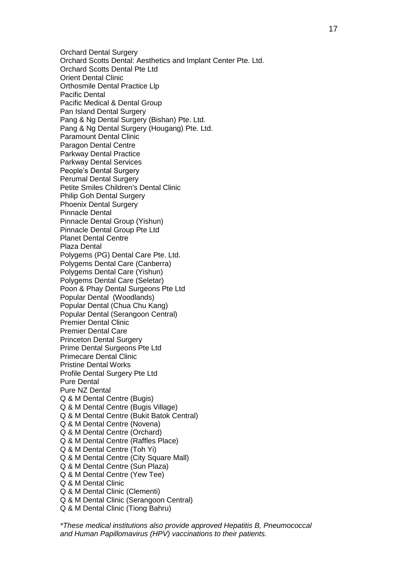Orchard Dental Surgery Orchard Scotts Dental: Aesthetics and Implant Center Pte. Ltd. Orchard Scotts Dental Pte Ltd Orient Dental Clinic Orthosmile Dental Practice Llp Pacific Dental Pacific Medical & Dental Group Pan Island Dental Surgery Pang & Ng Dental Surgery (Bishan) Pte. Ltd. Pang & Ng Dental Surgery (Hougang) Pte. Ltd. Paramount Dental Clinic Paragon Dental Centre Parkway Dental Practice Parkway Dental Services People's Dental Surgery Perumal Dental Surgery Petite Smiles Children's Dental Clinic Philip Goh Dental Surgery Phoenix Dental Surgery Pinnacle Dental Pinnacle Dental Group (Yishun) Pinnacle Dental Group Pte Ltd Planet Dental Centre Plaza Dental Polygems (PG) Dental Care Pte. Ltd. Polygems Dental Care (Canberra) Polygems Dental Care (Yishun) Polygems Dental Care (Seletar) Poon & Phay Dental Surgeons Pte Ltd Popular Dental (Woodlands) Popular Dental (Chua Chu Kang) Popular Dental (Serangoon Central) Premier Dental Clinic Premier Dental Care Princeton Dental Surgery Prime Dental Surgeons Pte Ltd Primecare Dental Clinic Pristine Dental Works Profile Dental Surgery Pte Ltd Pure Dental Pure NZ Dental Q & M Dental Centre (Bugis) Q & M Dental Centre (Bugis Village) Q & M Dental Centre (Bukit Batok Central) Q & M Dental Centre (Novena) Q & M Dental Centre (Orchard) Q & M Dental Centre (Raffles Place) Q & M Dental Centre (Toh Yi) Q & M Dental Centre (City Square Mall) Q & M Dental Centre (Sun Plaza) Q & M Dental Centre (Yew Tee) Q & M Dental Clinic Q & M Dental Clinic (Clementi) Q & M Dental Clinic (Serangoon Central) Q & M Dental Clinic (Tiong Bahru)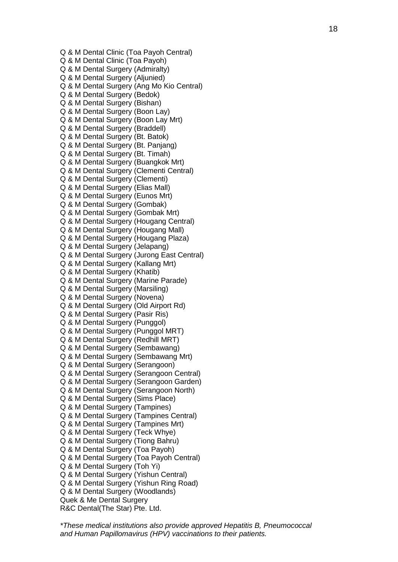Q & M Dental Clinic (Toa Payoh Central) Q & M Dental Clinic (Toa Payoh) Q & M Dental Surgery (Admiralty) Q & M Dental Surgery (Aljunied) Q & M Dental Surgery (Ang Mo Kio Central) Q & M Dental Surgery (Bedok) Q & M Dental Surgery (Bishan) Q & M Dental Surgery (Boon Lay) Q & M Dental Surgery (Boon Lay Mrt) Q & M Dental Surgery (Braddell) Q & M Dental Surgery (Bt. Batok) Q & M Dental Surgery (Bt. Panjang) Q & M Dental Surgery (Bt. Timah) Q & M Dental Surgery (Buangkok Mrt) Q & M Dental Surgery (Clementi Central) Q & M Dental Surgery (Clementi) Q & M Dental Surgery (Elias Mall) Q & M Dental Surgery (Eunos Mrt) Q & M Dental Surgery (Gombak) Q & M Dental Surgery (Gombak Mrt) Q & M Dental Surgery (Hougang Central) Q & M Dental Surgery (Hougang Mall) Q & M Dental Surgery (Hougang Plaza) Q & M Dental Surgery (Jelapang) Q & M Dental Surgery (Jurong East Central) Q & M Dental Surgery (Kallang Mrt) Q & M Dental Surgery (Khatib) Q & M Dental Surgery (Marine Parade) Q & M Dental Surgery (Marsiling) Q & M Dental Surgery (Novena) Q & M Dental Surgery (Old Airport Rd) Q & M Dental Surgery (Pasir Ris) Q & M Dental Surgery (Punggol) Q & M Dental Surgery (Punggol MRT) Q & M Dental Surgery (Redhill MRT) Q & M Dental Surgery (Sembawang) Q & M Dental Surgery (Sembawang Mrt) Q & M Dental Surgery (Serangoon) Q & M Dental Surgery (Serangoon Central) Q & M Dental Surgery (Serangoon Garden) Q & M Dental Surgery (Serangoon North) Q & M Dental Surgery (Sims Place) Q & M Dental Surgery (Tampines) Q & M Dental Surgery (Tampines Central) Q & M Dental Surgery (Tampines Mrt) Q & M Dental Surgery (Teck Whye) Q & M Dental Surgery (Tiong Bahru) Q & M Dental Surgery (Toa Payoh) Q & M Dental Surgery (Toa Payoh Central) Q & M Dental Surgery (Toh Yi) Q & M Dental Surgery (Yishun Central) Q & M Dental Surgery (Yishun Ring Road) Q & M Dental Surgery (Woodlands) Quek & Me Dental Surgery R&C Dental(The Star) Pte. Ltd.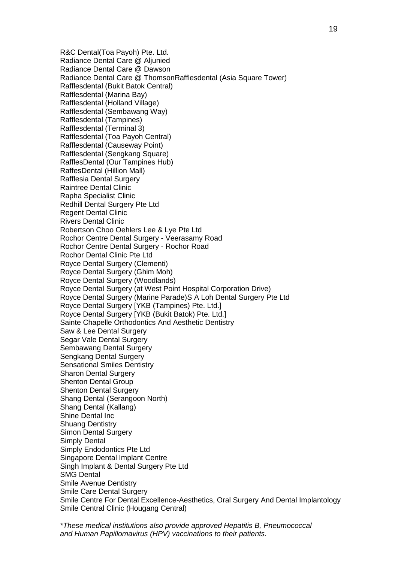R&C Dental(Toa Payoh) Pte. Ltd. Radiance Dental Care @ Aljunied Radiance Dental Care @ Dawson Radiance Dental Care @ ThomsonRafflesdental (Asia Square Tower) Rafflesdental (Bukit Batok Central) Rafflesdental (Marina Bay) Rafflesdental (Holland Village) Rafflesdental (Sembawang Way) Rafflesdental (Tampines) Rafflesdental (Terminal 3) Rafflesdental (Toa Payoh Central) Rafflesdental (Causeway Point) Rafflesdental (Sengkang Square) RafflesDental (Our Tampines Hub) RaffesDental (Hillion Mall) Rafflesia Dental Surgery Raintree Dental Clinic Rapha Specialist Clinic Redhill Dental Surgery Pte Ltd Regent Dental Clinic Rivers Dental Clinic Robertson Choo Oehlers Lee & Lye Pte Ltd Rochor Centre Dental Surgery - Veerasamy Road Rochor Centre Dental Surgery - Rochor Road Rochor Dental Clinic Pte Ltd Royce Dental Surgery (Clementi) Royce Dental Surgery (Ghim Moh) Royce Dental Surgery (Woodlands) Royce Dental Surgery (at West Point Hospital Corporation Drive) Royce Dental Surgery (Marine Parade)S A Loh Dental Surgery Pte Ltd Royce Dental Surgery [YKB (Tampines) Pte. Ltd.] Royce Dental Surgery [YKB (Bukit Batok) Pte. Ltd.] Sainte Chapelle Orthodontics And Aesthetic Dentistry Saw & Lee Dental Surgery Segar Vale Dental Surgery Sembawang Dental Surgery Sengkang Dental Surgery Sensational Smiles Dentistry Sharon Dental Surgery Shenton Dental Group Shenton Dental Surgery Shang Dental (Serangoon North) Shang Dental (Kallang) Shine Dental Inc Shuang Dentistry Simon Dental Surgery Simply Dental Simply Endodontics Pte Ltd Singapore Dental Implant Centre Singh Implant & Dental Surgery Pte Ltd SMG Dental Smile Avenue Dentistry Smile Care Dental Surgery Smile Centre For Dental Excellence-Aesthetics, Oral Surgery And Dental Implantology Smile Central Clinic (Hougang Central)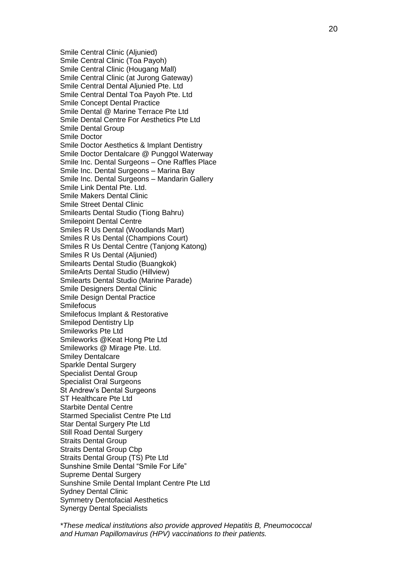Smile Central Clinic (Aljunied) Smile Central Clinic (Toa Payoh) Smile Central Clinic (Hougang Mall) Smile Central Clinic (at Jurong Gateway) Smile Central Dental Aljunied Pte. Ltd Smile Central Dental Toa Payoh Pte. Ltd Smile Concept Dental Practice Smile Dental @ Marine Terrace Pte Ltd Smile Dental Centre For Aesthetics Pte Ltd Smile Dental Group Smile Doctor Smile Doctor Aesthetics & Implant Dentistry Smile Doctor Dentalcare @ Punggol Waterway Smile Inc. Dental Surgeons – One Raffles Place Smile Inc. Dental Surgeons – Marina Bay Smile Inc. Dental Surgeons – Mandarin Gallery Smile Link Dental Pte. Ltd. Smile Makers Dental Clinic Smile Street Dental Clinic Smilearts Dental Studio (Tiong Bahru) Smilepoint Dental Centre Smiles R Us Dental (Woodlands Mart) Smiles R Us Dental (Champions Court) Smiles R Us Dental Centre (Tanjong Katong) Smiles R Us Dental (Aljunied) Smilearts Dental Studio (Buangkok) SmileArts Dental Studio (Hillview) Smilearts Dental Studio (Marine Parade) Smile Designers Dental Clinic Smile Design Dental Practice **Smilefocus** Smilefocus Implant & Restorative Smilepod Dentistry Llp Smileworks Pte Ltd Smileworks @Keat Hong Pte Ltd Smileworks @ Mirage Pte. Ltd. Smiley Dentalcare Sparkle Dental Surgery Specialist Dental Group Specialist Oral Surgeons St Andrew's Dental Surgeons ST Healthcare Pte Ltd Starbite Dental Centre Starmed Specialist Centre Pte Ltd Star Dental Surgery Pte Ltd Still Road Dental Surgery Straits Dental Group Straits Dental Group Cbp Straits Dental Group (TS) Pte Ltd Sunshine Smile Dental "Smile For Life" Supreme Dental Surgery Sunshine Smile Dental Implant Centre Pte Ltd Sydney Dental Clinic Symmetry Dentofacial Aesthetics Synergy Dental Specialists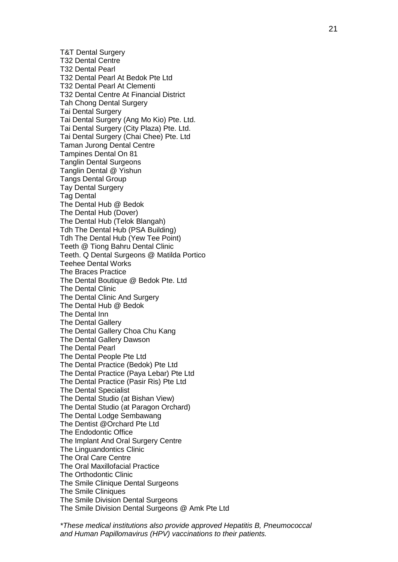T&T Dental Surgery T32 Dental Centre T32 Dental Pearl T32 Dental Pearl At Bedok Pte Ltd T32 Dental Pearl At Clementi T32 Dental Centre At Financial District Tah Chong Dental Surgery Tai Dental Surgery Tai Dental Surgery (Ang Mo Kio) Pte. Ltd. Tai Dental Surgery (City Plaza) Pte. Ltd. Tai Dental Surgery (Chai Chee) Pte. Ltd Taman Jurong Dental Centre Tampines Dental On 81 Tanglin Dental Surgeons Tanglin Dental @ Yishun Tangs Dental Group Tay Dental Surgery Tag Dental The Dental Hub @ Bedok The Dental Hub (Dover) The Dental Hub (Telok Blangah) Tdh The Dental Hub (PSA Building) Tdh The Dental Hub (Yew Tee Point) Teeth @ Tiong Bahru Dental Clinic Teeth. Q Dental Surgeons @ Matilda Portico Teehee Dental Works The Braces Practice The Dental Boutique @ Bedok Pte. Ltd The Dental Clinic The Dental Clinic And Surgery The Dental Hub @ Bedok The Dental Inn The Dental Gallery The Dental Gallery Choa Chu Kang The Dental Gallery Dawson The Dental Pearl The Dental People Pte Ltd The Dental Practice (Bedok) Pte Ltd The Dental Practice (Paya Lebar) Pte Ltd The Dental Practice (Pasir Ris) Pte Ltd The Dental Specialist The Dental Studio (at Bishan View) The Dental Studio (at Paragon Orchard) The Dental Lodge Sembawang The Dentist @Orchard Pte Ltd The Endodontic Office The Implant And Oral Surgery Centre The Linguandontics Clinic The Oral Care Centre The Oral Maxillofacial Practice The Orthodontic Clinic The Smile Clinique Dental Surgeons The Smile Cliniques The Smile Division Dental Surgeons The Smile Division Dental Surgeons @ Amk Pte Ltd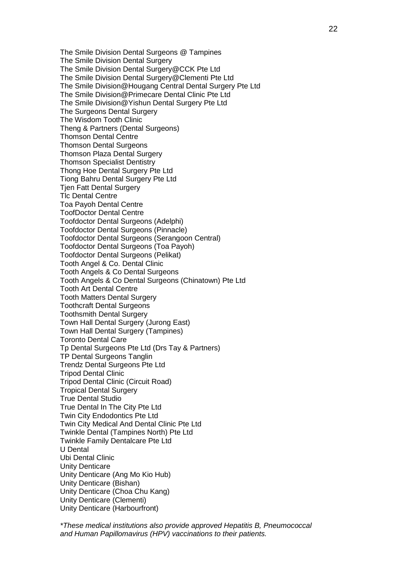The Smile Division Dental Surgeons @ Tampines The Smile Division Dental Surgery The Smile Division Dental Surgery@CCK Pte Ltd The Smile Division Dental Surgery@Clementi Pte Ltd The Smile Division@Hougang Central Dental Surgery Pte Ltd The Smile Division@Primecare Dental Clinic Pte Ltd The Smile Division@Yishun Dental Surgery Pte Ltd The Surgeons Dental Surgery The Wisdom Tooth Clinic Theng & Partners (Dental Surgeons) Thomson Dental Centre Thomson Dental Surgeons Thomson Plaza Dental Surgery Thomson Specialist Dentistry Thong Hoe Dental Surgery Pte Ltd Tiong Bahru Dental Surgery Pte Ltd Tjen Fatt Dental Surgery Tlc Dental Centre Toa Payoh Dental Centre ToofDoctor Dental Centre Toofdoctor Dental Surgeons (Adelphi) Toofdoctor Dental Surgeons (Pinnacle) Toofdoctor Dental Surgeons (Serangoon Central) Toofdoctor Dental Surgeons (Toa Payoh) Toofdoctor Dental Surgeons (Pelikat) Tooth Angel & Co. Dental Clinic Tooth Angels & Co Dental Surgeons Tooth Angels & Co Dental Surgeons (Chinatown) Pte Ltd Tooth Art Dental Centre Tooth Matters Dental Surgery Toothcraft Dental Surgeons Toothsmith Dental Surgery Town Hall Dental Surgery (Jurong East) Town Hall Dental Surgery (Tampines) Toronto Dental Care Tp Dental Surgeons Pte Ltd (Drs Tay & Partners) TP Dental Surgeons Tanglin Trendz Dental Surgeons Pte Ltd Tripod Dental Clinic Tripod Dental Clinic (Circuit Road) Tropical Dental Surgery True Dental Studio True Dental In The City Pte Ltd Twin City Endodontics Pte Ltd Twin City Medical And Dental Clinic Pte Ltd Twinkle Dental (Tampines North) Pte Ltd Twinkle Family Dentalcare Pte Ltd U Dental Ubi Dental Clinic Unity Denticare Unity Denticare (Ang Mo Kio Hub) Unity Denticare (Bishan) Unity Denticare (Choa Chu Kang) Unity Denticare (Clementi) Unity Denticare (Harbourfront)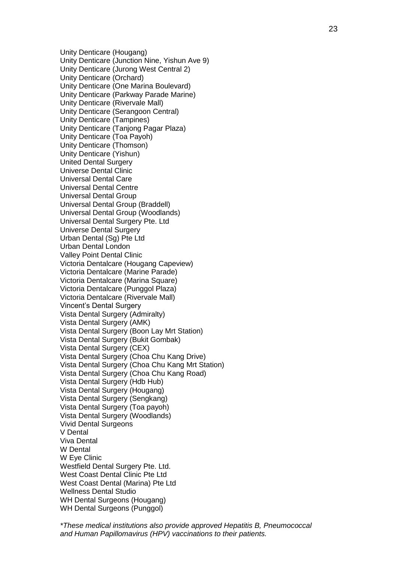Unity Denticare (Hougang) Unity Denticare (Junction Nine, Yishun Ave 9) Unity Denticare (Jurong West Central 2) Unity Denticare (Orchard) Unity Denticare (One Marina Boulevard) Unity Denticare (Parkway Parade Marine) Unity Denticare (Rivervale Mall) Unity Denticare (Serangoon Central) Unity Denticare (Tampines) Unity Denticare (Tanjong Pagar Plaza) Unity Denticare (Toa Payoh) Unity Denticare (Thomson) Unity Denticare (Yishun) United Dental Surgery Universe Dental Clinic Universal Dental Care Universal Dental Centre Universal Dental Group Universal Dental Group (Braddell) Universal Dental Group (Woodlands) Universal Dental Surgery Pte. Ltd Universe Dental Surgery Urban Dental (Sg) Pte Ltd Urban Dental London Valley Point Dental Clinic Victoria Dentalcare (Hougang Capeview) Victoria Dentalcare (Marine Parade) Victoria Dentalcare (Marina Square) Victoria Dentalcare (Punggol Plaza) Victoria Dentalcare (Rivervale Mall) Vincent's Dental Surgery Vista Dental Surgery (Admiralty) Vista Dental Surgery (AMK) Vista Dental Surgery (Boon Lay Mrt Station) Vista Dental Surgery (Bukit Gombak) Vista Dental Surgery (CEX) Vista Dental Surgery (Choa Chu Kang Drive) Vista Dental Surgery (Choa Chu Kang Mrt Station) Vista Dental Surgery (Choa Chu Kang Road) Vista Dental Surgery (Hdb Hub) Vista Dental Surgery (Hougang) Vista Dental Surgery (Sengkang) Vista Dental Surgery (Toa payoh) Vista Dental Surgery (Woodlands) Vivid Dental Surgeons V Dental Viva Dental W Dental W Eye Clinic Westfield Dental Surgery Pte. Ltd. West Coast Dental Clinic Pte Ltd West Coast Dental (Marina) Pte Ltd Wellness Dental Studio WH Dental Surgeons (Hougang) WH Dental Surgeons (Punggol)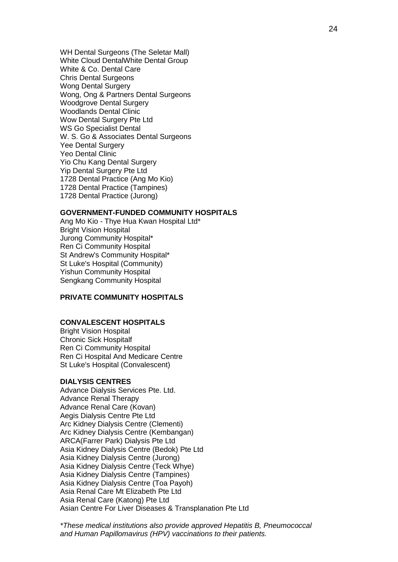WH Dental Surgeons (The Seletar Mall) White Cloud DentalWhite Dental Group White & Co. Dental Care Chris Dental Surgeons Wong Dental Surgery Wong, Ong & Partners Dental Surgeons Woodgrove Dental Surgery Woodlands Dental Clinic Wow Dental Surgery Pte Ltd WS Go Specialist Dental W. S. Go & Associates Dental Surgeons Yee Dental Surgery Yeo Dental Clinic Yio Chu Kang Dental Surgery Yip Dental Surgery Pte Ltd 1728 Dental Practice (Ang Mo Kio) 1728 Dental Practice (Tampines) 1728 Dental Practice (Jurong)

#### **GOVERNMENT-FUNDED COMMUNITY HOSPITALS**

Ang Mo Kio - Thye Hua Kwan Hospital Ltd\* Bright Vision Hospital Jurong Community Hospital\* Ren Ci Community Hospital St Andrew's Community Hospital\* St Luke's Hospital (Community) Yishun Community Hospital Sengkang Community Hospital

## **PRIVATE COMMUNITY HOSPITALS**

#### **CONVALESCENT HOSPITALS**

Bright Vision Hospital Chronic Sick Hospitalf Ren Ci Community Hospital Ren Ci Hospital And Medicare Centre St Luke's Hospital (Convalescent)

#### **DIALYSIS CENTRES**

Advance Dialysis Services Pte. Ltd. Advance Renal Therapy Advance Renal Care (Kovan) Aegis Dialysis Centre Pte Ltd Arc Kidney Dialysis Centre (Clementi) Arc Kidney Dialysis Centre (Kembangan) ARCA(Farrer Park) Dialysis Pte Ltd Asia Kidney Dialysis Centre (Bedok) Pte Ltd Asia Kidney Dialysis Centre (Jurong) Asia Kidney Dialysis Centre (Teck Whye) Asia Kidney Dialysis Centre (Tampines) Asia Kidney Dialysis Centre (Toa Payoh) Asia Renal Care Mt Elizabeth Pte Ltd Asia Renal Care (Katong) Pte Ltd Asian Centre For Liver Diseases & Transplanation Pte Ltd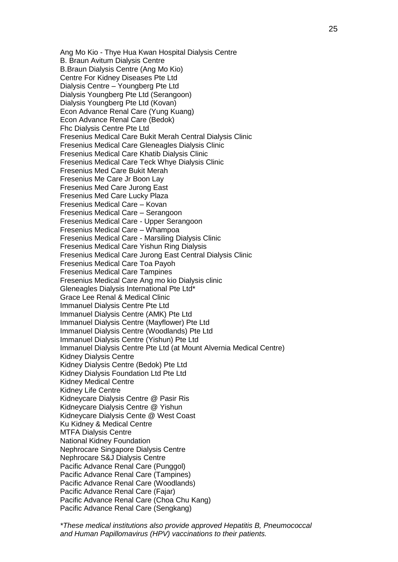Ang Mo Kio - Thye Hua Kwan Hospital Dialysis Centre B. Braun Avitum Dialysis Centre B.Braun Dialysis Centre (Ang Mo Kio) Centre For Kidney Diseases Pte Ltd Dialysis Centre – Youngberg Pte Ltd Dialysis Youngberg Pte Ltd (Serangoon) Dialysis Youngberg Pte Ltd (Kovan) Econ Advance Renal Care (Yung Kuang) Econ Advance Renal Care (Bedok) Fhc Dialysis Centre Pte Ltd Fresenius Medical Care Bukit Merah Central Dialysis Clinic Fresenius Medical Care Gleneagles Dialysis Clinic Fresenius Medical Care Khatib Dialysis Clinic Fresenius Medical Care Teck Whye Dialysis Clinic Fresenius Med Care Bukit Merah Fresenius Me Care Jr Boon Lay Fresenius Med Care Jurong East Fresenius Med Care Lucky Plaza Fresenius Medical Care – Kovan Fresenius Medical Care – Serangoon Fresenius Medical Care - Upper Serangoon Fresenius Medical Care – Whampoa Fresenius Medical Care - Marsiling Dialysis Clinic Fresenius Medical Care Yishun Ring Dialysis Fresenius Medical Care Jurong East Central Dialysis Clinic Fresenius Medical Care Toa Payoh Fresenius Medical Care Tampines Fresenius Medical Care Ang mo kio Dialysis clinic Gleneagles Dialysis International Pte Ltd\* Grace Lee Renal & Medical Clinic Immanuel Dialysis Centre Pte Ltd Immanuel Dialysis Centre (AMK) Pte Ltd Immanuel Dialysis Centre (Mayflower) Pte Ltd Immanuel Dialysis Centre (Woodlands) Pte Ltd Immanuel Dialysis Centre (Yishun) Pte Ltd Immanuel Dialysis Centre Pte Ltd (at Mount Alvernia Medical Centre) Kidney Dialysis Centre Kidney Dialysis Centre (Bedok) Pte Ltd Kidney Dialysis Foundation Ltd Pte Ltd Kidney Medical Centre Kidney Life Centre Kidneycare Dialysis Centre @ Pasir Ris Kidneycare Dialysis Centre @ Yishun Kidneycare Dialysis Cente @ West Coast Ku Kidney & Medical Centre MTFA Dialysis Centre National Kidney Foundation Nephrocare Singapore Dialysis Centre Nephrocare S&J Dialysis Centre Pacific Advance Renal Care (Punggol) Pacific Advance Renal Care (Tampines) Pacific Advance Renal Care (Woodlands) Pacific Advance Renal Care (Fajar) Pacific Advance Renal Care (Choa Chu Kang) Pacific Advance Renal Care (Sengkang)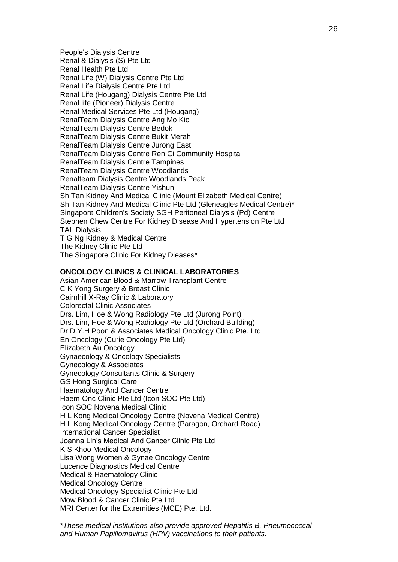People's Dialysis Centre Renal & Dialysis (S) Pte Ltd Renal Health Pte Ltd Renal Life (W) Dialysis Centre Pte Ltd Renal Life Dialysis Centre Pte Ltd Renal Life (Hougang) Dialysis Centre Pte Ltd Renal life (Pioneer) Dialysis Centre Renal Medical Services Pte Ltd (Hougang) RenalTeam Dialysis Centre Ang Mo Kio RenalTeam Dialysis Centre Bedok RenalTeam Dialysis Centre Bukit Merah RenalTeam Dialysis Centre Jurong East RenalTeam Dialysis Centre Ren Ci Community Hospital RenalTeam Dialysis Centre Tampines RenalTeam Dialysis Centre Woodlands Renalteam Dialysis Centre Woodlands Peak RenalTeam Dialysis Centre Yishun Sh Tan Kidney And Medical Clinic (Mount Elizabeth Medical Centre) Sh Tan Kidney And Medical Clinic Pte Ltd (Gleneagles Medical Centre)\* Singapore Children's Society SGH Peritoneal Dialysis (Pd) Centre Stephen Chew Centre For Kidney Disease And Hypertension Pte Ltd TAL Dialysis T G Ng Kidney & Medical Centre The Kidney Clinic Pte Ltd The Singapore Clinic For Kidney Dieases\*

#### **ONCOLOGY CLINICS & CLINICAL LABORATORIES**

Asian American Blood & Marrow Transplant Centre C K Yong Surgery & Breast Clinic Cairnhill X-Ray Clinic & Laboratory Colorectal Clinic Associates Drs. Lim, Hoe & Wong Radiology Pte Ltd (Jurong Point) Drs. Lim, Hoe & Wong Radiology Pte Ltd (Orchard Building) Dr D.Y.H Poon & Associates Medical Oncology Clinic Pte. Ltd. En Oncology (Curie Oncology Pte Ltd) Elizabeth Au Oncology Gynaecology & Oncology Specialists Gynecology & Associates Gynecology Consultants Clinic & Surgery GS Hong Surgical Care Haematology And Cancer Centre Haem-Onc Clinic Pte Ltd (Icon SOC Pte Ltd) Icon SOC Novena Medical Clinic H L Kong Medical Oncology Centre (Novena Medical Centre) H L Kong Medical Oncology Centre (Paragon, Orchard Road) International Cancer Specialist Joanna Lin's Medical And Cancer Clinic Pte Ltd K S Khoo Medical Oncology Lisa Wong Women & Gynae Oncology Centre Lucence Diagnostics Medical Centre Medical & Haematology Clinic Medical Oncology Centre Medical Oncology Specialist Clinic Pte Ltd Mow Blood & Cancer Clinic Pte Ltd MRI Center for the Extremities (MCE) Pte. Ltd.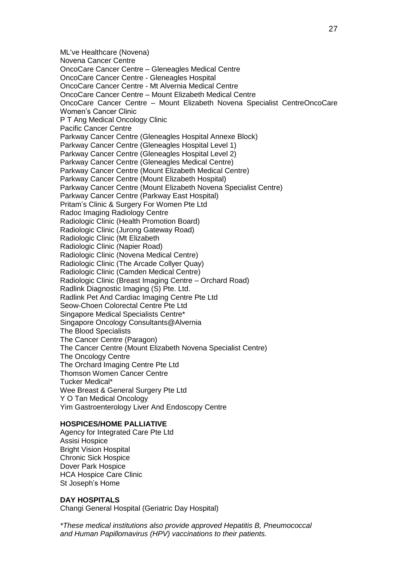ML've Healthcare (Novena) Novena Cancer Centre OncoCare Cancer Centre – Gleneagles Medical Centre OncoCare Cancer Centre - Gleneagles Hospital OncoCare Cancer Centre - Mt Alvernia Medical Centre OncoCare Cancer Centre – Mount Elizabeth Medical Centre OncoCare Cancer Centre – Mount Elizabeth Novena Specialist CentreOncoCare Women's Cancer Clinic P T Ang Medical Oncology Clinic Pacific Cancer Centre Parkway Cancer Centre (Gleneagles Hospital Annexe Block) Parkway Cancer Centre (Gleneagles Hospital Level 1) Parkway Cancer Centre (Gleneagles Hospital Level 2) Parkway Cancer Centre (Gleneagles Medical Centre) Parkway Cancer Centre (Mount Elizabeth Medical Centre) Parkway Cancer Centre (Mount Elizabeth Hospital) Parkway Cancer Centre (Mount Elizabeth Novena Specialist Centre) Parkway Cancer Centre (Parkway East Hospital) Pritam's Clinic & Surgery For Women Pte Ltd Radoc Imaging Radiology Centre Radiologic Clinic (Health Promotion Board) Radiologic Clinic (Jurong Gateway Road) Radiologic Clinic (Mt Elizabeth Radiologic Clinic (Napier Road) Radiologic Clinic (Novena Medical Centre) Radiologic Clinic (The Arcade Collyer Quay) Radiologic Clinic (Camden Medical Centre) Radiologic Clinic (Breast Imaging Centre – Orchard Road) Radlink Diagnostic Imaging (S) Pte. Ltd. Radlink Pet And Cardiac Imaging Centre Pte Ltd Seow-Choen Colorectal Centre Pte Ltd Singapore Medical Specialists Centre\* Singapore Oncology Consultants@Alvernia The Blood Specialists The Cancer Centre (Paragon) The Cancer Centre (Mount Elizabeth Novena Specialist Centre) The Oncology Centre The Orchard Imaging Centre Pte Ltd Thomson Women Cancer Centre Tucker Medical\* Wee Breast & General Surgery Pte Ltd Y O Tan Medical Oncology Yim Gastroenterology Liver And Endoscopy Centre

## **HOSPICES/HOME PALLIATIVE**

Agency for Integrated Care Pte Ltd Assisi Hospice Bright Vision Hospital Chronic Sick Hospice Dover Park Hospice HCA Hospice Care Clinic St Joseph's Home

#### **DAY HOSPITALS**

Changi General Hospital (Geriatric Day Hospital)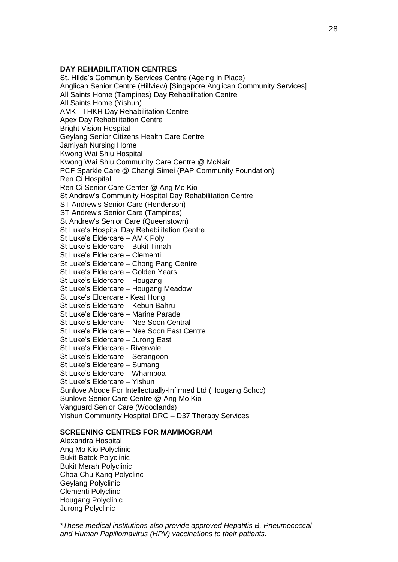## **DAY REHABILITATION CENTRES**

St. Hilda's Community Services Centre (Ageing In Place) Anglican Senior Centre (Hillview) [Singapore Anglican Community Services] All Saints Home (Tampines) Day Rehabilitation Centre All Saints Home (Yishun) AMK - THKH Day Rehabilitation Centre Apex Day Rehabilitation Centre Bright Vision Hospital Geylang Senior Citizens Health Care Centre Jamiyah Nursing Home Kwong Wai Shiu Hospital Kwong Wai Shiu Community Care Centre @ McNair PCF Sparkle Care @ Changi Simei (PAP Community Foundation) Ren Ci Hospital Ren Ci Senior Care Center @ Ang Mo Kio St Andrew's Community Hospital Day Rehabilitation Centre ST Andrew's Senior Care (Henderson) ST Andrew's Senior Care (Tampines) St Andrew's Senior Care (Queenstown) St Luke's Hospital Day Rehabilitation Centre St Luke's Eldercare – AMK Poly St Luke's Eldercare – Bukit Timah St Luke's Eldercare – Clementi St Luke's Eldercare – Chong Pang Centre St Luke's Eldercare – Golden Years St Luke's Eldercare – Hougang St Luke's Eldercare – Hougang Meadow St Luke's Eldercare - Keat Hong St Luke's Eldercare – Kebun Bahru St Luke's Eldercare – Marine Parade St Luke's Eldercare – Nee Soon Central St Luke's Eldercare – Nee Soon East Centre St Luke's Eldercare – Jurong East St Luke's Eldercare - Rivervale St Luke's Eldercare – Serangoon St Luke's Eldercare – Sumang St Luke's Eldercare – Whampoa St Luke's Eldercare – Yishun Sunlove Abode For Intellectually-Infirmed Ltd (Hougang Schcc) Sunlove Senior Care Centre @ Ang Mo Kio Vanguard Senior Care (Woodlands) Yishun Community Hospital DRC – D37 Therapy Services **SCREENING CENTRES FOR MAMMOGRAM**

Alexandra Hospital Ang Mo Kio Polyclinic Bukit Batok Polyclinic Bukit Merah Polyclinic Choa Chu Kang Polyclinc Geylang Polyclinic Clementi Polyclinc Hougang Polyclinic Jurong Polyclinic